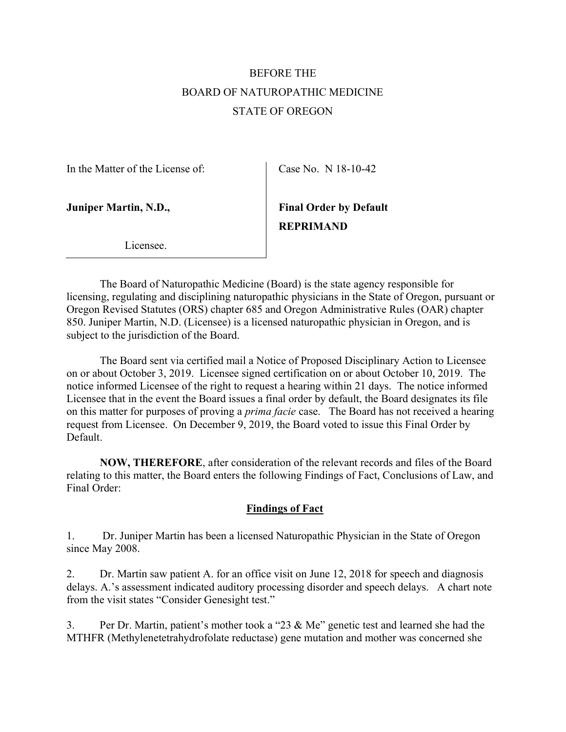# BEFORE THE BOARD OF NATUROPATHIC MEDICINE STATE OF OREGON

In the Matter of the License of:

Case No. N 18-10-42

Juniper Martin, N.D.,

Final Order by Default REPRIMAND

Licensee.

 The Board of Naturopathic Medicine (Board) is the state agency responsible for licensing, regulating and disciplining naturopathic physicians in the State of Oregon, pursuant or Oregon Revised Statutes (ORS) chapter 685 and Oregon Administrative Rules (OAR) chapter 850. Juniper Martin, N.D. (Licensee) is a licensed naturopathic physician in Oregon, and is subject to the jurisdiction of the Board.

 The Board sent via certified mail a Notice of Proposed Disciplinary Action to Licensee on or about October 3, 2019. Licensee signed certification on or about October 10, 2019. The notice informed Licensee of the right to request a hearing within 21 days. The notice informed Licensee that in the event the Board issues a final order by default, the Board designates its file on this matter for purposes of proving a *prima facie* case. The Board has not received a hearing request from Licensee. On December 9, 2019, the Board voted to issue this Final Order by Default.

NOW, THEREFORE, after consideration of the relevant records and files of the Board relating to this matter, the Board enters the following Findings of Fact, Conclusions of Law, and Final Order:

## Findings of Fact

1. Dr. Juniper Martin has been a licensed Naturopathic Physician in the State of Oregon since May 2008.

2. Dr. Martin saw patient A. for an office visit on June 12, 2018 for speech and diagnosis delays. A.'s assessment indicated auditory processing disorder and speech delays. A chart note from the visit states "Consider Genesight test."

3. Per Dr. Martin, patient's mother took a "23 & Me" genetic test and learned she had the MTHFR (Methylenetetrahydrofolate reductase) gene mutation and mother was concerned she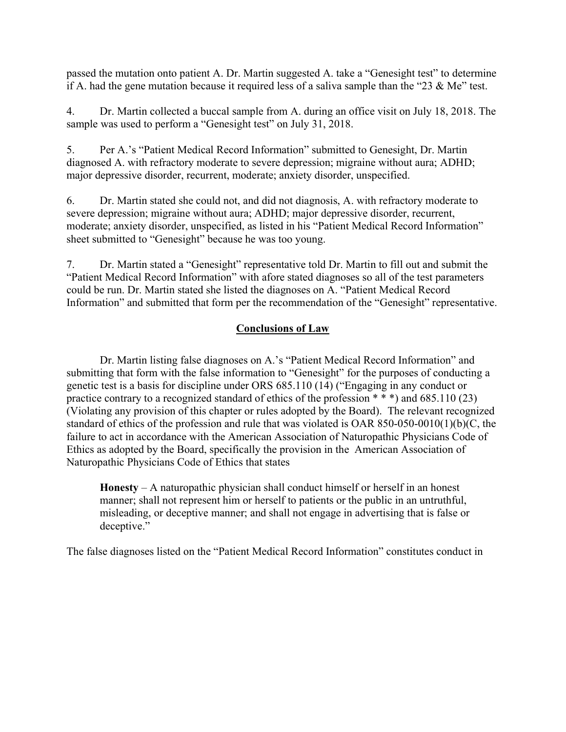passed the mutation onto patient A. Dr. Martin suggested A. take a "Genesight test" to determine if A. had the gene mutation because it required less of a saliva sample than the "23  $\&$  Me" test.

4. Dr. Martin collected a buccal sample from A. during an office visit on July 18, 2018. The sample was used to perform a "Genesight test" on July 31, 2018.

5. Per A.'s "Patient Medical Record Information" submitted to Genesight, Dr. Martin diagnosed A. with refractory moderate to severe depression; migraine without aura; ADHD; major depressive disorder, recurrent, moderate; anxiety disorder, unspecified.

6. Dr. Martin stated she could not, and did not diagnosis, A. with refractory moderate to severe depression; migraine without aura; ADHD; major depressive disorder, recurrent, moderate; anxiety disorder, unspecified, as listed in his "Patient Medical Record Information" sheet submitted to "Genesight" because he was too young.

7. Dr. Martin stated a "Genesight" representative told Dr. Martin to fill out and submit the "Patient Medical Record Information" with afore stated diagnoses so all of the test parameters could be run. Dr. Martin stated she listed the diagnoses on A. "Patient Medical Record Information" and submitted that form per the recommendation of the "Genesight" representative.

### Conclusions of Law

 Dr. Martin listing false diagnoses on A.'s "Patient Medical Record Information" and submitting that form with the false information to "Genesight" for the purposes of conducting a genetic test is a basis for discipline under ORS 685.110 (14) ("Engaging in any conduct or practice contrary to a recognized standard of ethics of the profession  $***$ ) and 685.110 (23) (Violating any provision of this chapter or rules adopted by the Board). The relevant recognized standard of ethics of the profession and rule that was violated is OAR 850-050-0010(1)(b)(C, the failure to act in accordance with the American Association of Naturopathic Physicians Code of Ethics as adopted by the Board, specifically the provision in the American Association of Naturopathic Physicians Code of Ethics that states

Honesty – A naturopathic physician shall conduct himself or herself in an honest manner; shall not represent him or herself to patients or the public in an untruthful, misleading, or deceptive manner; and shall not engage in advertising that is false or deceptive."

The false diagnoses listed on the "Patient Medical Record Information" constitutes conduct in